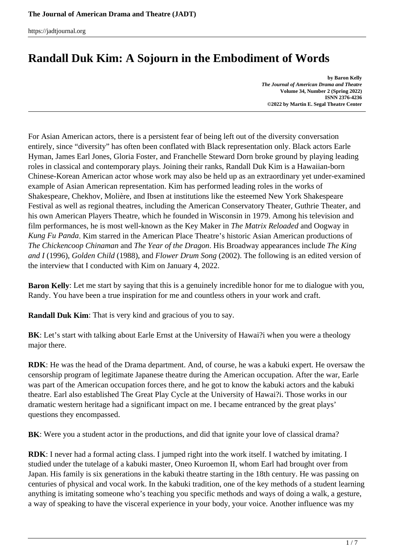# **Randall Duk Kim: A Sojourn in the Embodiment of Words**

**by Baron Kelly** *The Journal of American Drama and Theatre* **Volume 34, Number 2 (Spring 2022) ISNN 2376-4236 ©2022 by Martin E. Segal Theatre Center**

For Asian American actors, there is a persistent fear of being left out of the diversity conversation entirely, since "diversity" has often been conflated with Black representation only. Black actors Earle Hyman, James Earl Jones, Gloria Foster, and Franchelle Steward Dorn broke ground by playing leading roles in classical and contemporary plays. Joining their ranks, Randall Duk Kim is a Hawaiian-born Chinese-Korean American actor whose work may also be held up as an extraordinary yet under-examined example of Asian American representation. Kim has performed leading roles in the works of Shakespeare, Chekhov, Molière, and Ibsen at institutions like the esteemed New York Shakespeare Festival as well as regional theatres, including the American Conservatory Theater, Guthrie Theater, and his own American Players Theatre, which he founded in Wisconsin in 1979. Among his television and film performances, he is most well-known as the Key Maker in *The Matrix Reloaded* and Oogway in *Kung Fu Panda*. Kim starred in the American Place Theatre's historic Asian American productions of *The Chickencoop Chinaman* and *The Year of the Dragon*. His Broadway appearances include *The King and I* (1996), *Golden Child* (1988), and *Flower Drum Song* (2002). The following is an edited version of the interview that I conducted with Kim on January 4, 2022.

**Baron Kelly**: Let me start by saying that this is a genuinely incredible honor for me to dialogue with you, Randy. You have been a true inspiration for me and countless others in your work and craft.

**Randall Duk Kim**: That is very kind and gracious of you to say.

**BK**: Let's start with talking about Earle Ernst at the University of Hawai?i when you were a theology major there.

**RDK**: He was the head of the Drama department. And, of course, he was a kabuki expert. He oversaw the censorship program of legitimate Japanese theatre during the American occupation. After the war, Earle was part of the American occupation forces there, and he got to know the kabuki actors and the kabuki theatre. Earl also established The Great Play Cycle at the University of Hawai?i. Those works in our dramatic western heritage had a significant impact on me. I became entranced by the great plays' questions they encompassed.

**BK**: Were you a student actor in the productions, and did that ignite your love of classical drama?

**RDK**: I never had a formal acting class. I jumped right into the work itself. I watched by imitating. I studied under the tutelage of a kabuki master, Oneo Kuroemon II, whom Earl had brought over from Japan. His family is six generations in the kabuki theatre starting in the 18th century. He was passing on centuries of physical and vocal work. In the kabuki tradition, one of the key methods of a student learning anything is imitating someone who's teaching you specific methods and ways of doing a walk, a gesture, a way of speaking to have the visceral experience in your body, your voice. Another influence was my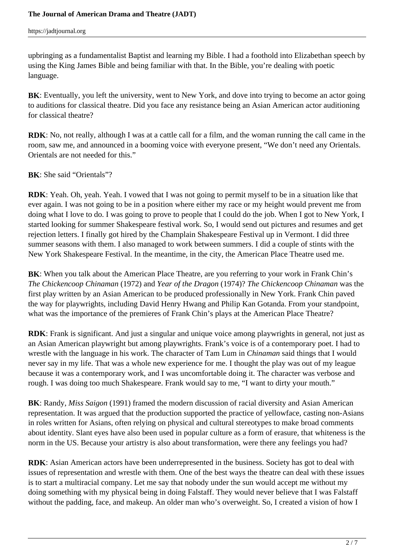upbringing as a fundamentalist Baptist and learning my Bible. I had a foothold into Elizabethan speech by using the King James Bible and being familiar with that. In the Bible, you're dealing with poetic language.

**BK**: Eventually, you left the university, went to New York, and dove into trying to become an actor going to auditions for classical theatre. Did you face any resistance being an Asian American actor auditioning for classical theatre?

**RDK**: No, not really, although I was at a cattle call for a film, and the woman running the call came in the room, saw me, and announced in a booming voice with everyone present, "We don't need any Orientals. Orientals are not needed for this."

**BK**: She said "Orientals"?

**RDK**: Yeah. Oh, yeah. Yeah. I vowed that I was not going to permit myself to be in a situation like that ever again. I was not going to be in a position where either my race or my height would prevent me from doing what I love to do. I was going to prove to people that I could do the job. When I got to New York, I started looking for summer Shakespeare festival work. So, I would send out pictures and resumes and get rejection letters. I finally got hired by the Champlain Shakespeare Festival up in Vermont. I did three summer seasons with them. I also managed to work between summers. I did a couple of stints with the New York Shakespeare Festival. In the meantime, in the city, the American Place Theatre used me.

**BK**: When you talk about the American Place Theatre, are you referring to your work in Frank Chin's *The Chickencoop Chinaman* (1972) and *Year of the Dragon* (1974)? *The Chickencoop Chinaman* was the first play written by an Asian American to be produced professionally in New York. Frank Chin paved the way for playwrights, including David Henry Hwang and Philip Kan Gotanda. From your standpoint, what was the importance of the premieres of Frank Chin's plays at the American Place Theatre?

**RDK**: Frank is significant. And just a singular and unique voice among playwrights in general, not just as an Asian American playwright but among playwrights. Frank's voice is of a contemporary poet. I had to wrestle with the language in his work. The character of Tam Lum in *Chinaman* said things that I would never say in my life. That was a whole new experience for me. I thought the play was out of my league because it was a contemporary work, and I was uncomfortable doing it. The character was verbose and rough. I was doing too much Shakespeare. Frank would say to me, "I want to dirty your mouth."

**BK**: Randy, *Miss Saigon* (1991) framed the modern discussion of racial diversity and Asian American representation. It was argued that the production supported the practice of yellowface, casting non-Asians in roles written for Asians, often relying on physical and cultural stereotypes to make broad comments about identity. Slant eyes have also been used in popular culture as a form of erasure, that whiteness is the norm in the US. Because your artistry is also about transformation, were there any feelings you had?

**RDK**: Asian American actors have been underrepresented in the business. Society has got to deal with issues of representation and wrestle with them. One of the best ways the theatre can deal with these issues is to start a multiracial company. Let me say that nobody under the sun would accept me without my doing something with my physical being in doing Falstaff. They would never believe that I was Falstaff without the padding, face, and makeup. An older man who's overweight. So, I created a vision of how I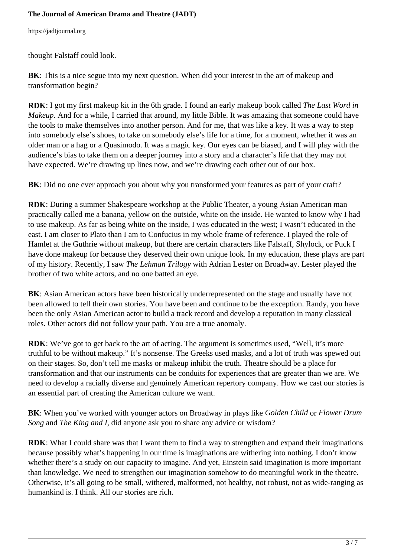thought Falstaff could look.

**BK**: This is a nice segue into my next question. When did your interest in the art of makeup and transformation begin?

**RDK**: I got my first makeup kit in the 6th grade. I found an early makeup book called *The Last Word in Makeup*. And for a while, I carried that around, my little Bible. It was amazing that someone could have the tools to make themselves into another person. And for me, that was like a key. It was a way to step into somebody else's shoes, to take on somebody else's life for a time, for a moment, whether it was an older man or a hag or a Quasimodo. It was a magic key. Our eyes can be biased, and I will play with the audience's bias to take them on a deeper journey into a story and a character's life that they may not have expected. We're drawing up lines now, and we're drawing each other out of our box.

**BK**: Did no one ever approach you about why you transformed your features as part of your craft?

**RDK**: During a summer Shakespeare workshop at the Public Theater, a young Asian American man practically called me a banana, yellow on the outside, white on the inside. He wanted to know why I had to use makeup. As far as being white on the inside, I was educated in the west; I wasn't educated in the east. I am closer to Plato than I am to Confucius in my whole frame of reference. I played the role of Hamlet at the Guthrie without makeup, but there are certain characters like Falstaff, Shylock, or Puck I have done makeup for because they deserved their own unique look. In my education, these plays are part of my history. Recently, I saw *The Lehman Trilogy* with Adrian Lester on Broadway. Lester played the brother of two white actors, and no one batted an eye.

**BK**: Asian American actors have been historically underrepresented on the stage and usually have not been allowed to tell their own stories. You have been and continue to be the exception. Randy, you have been the only Asian American actor to build a track record and develop a reputation in many classical roles. Other actors did not follow your path. You are a true anomaly.

**RDK**: We've got to get back to the art of acting. The argument is sometimes used, "Well, it's more truthful to be without makeup." It's nonsense. The Greeks used masks, and a lot of truth was spewed out on their stages. So, don't tell me masks or makeup inhibit the truth. Theatre should be a place for transformation and that our instruments can be conduits for experiences that are greater than we are. We need to develop a racially diverse and genuinely American repertory company. How we cast our stories is an essential part of creating the American culture we want.

**BK**: When you've worked with younger actors on Broadway in plays like *Golden Child* or *Flower Drum Song* and *The King and I*, did anyone ask you to share any advice or wisdom?

**RDK**: What I could share was that I want them to find a way to strengthen and expand their imaginations because possibly what's happening in our time is imaginations are withering into nothing. I don't know whether there's a study on our capacity to imagine. And yet, Einstein said imagination is more important than knowledge. We need to strengthen our imagination somehow to do meaningful work in the theatre. Otherwise, it's all going to be small, withered, malformed, not healthy, not robust, not as wide-ranging as humankind is. I think. All our stories are rich.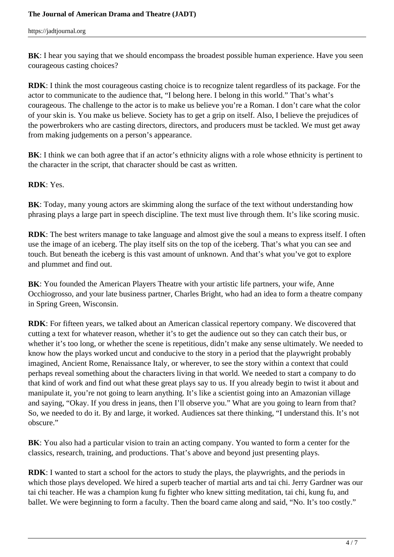**BK**: I hear you saying that we should encompass the broadest possible human experience. Have you seen courageous casting choices?

**RDK**: I think the most courageous casting choice is to recognize talent regardless of its package. For the actor to communicate to the audience that, "I belong here. I belong in this world." That's what's courageous. The challenge to the actor is to make us believe you're a Roman. I don't care what the color of your skin is. You make us believe. Society has to get a grip on itself. Also, I believe the prejudices of the powerbrokers who are casting directors, directors, and producers must be tackled. We must get away from making judgements on a person's appearance.

**BK**: I think we can both agree that if an actor's ethnicity aligns with a role whose ethnicity is pertinent to the character in the script, that character should be cast as written.

**RDK**: Yes.

**BK**: Today, many young actors are skimming along the surface of the text without understanding how phrasing plays a large part in speech discipline. The text must live through them. It's like scoring music.

**RDK**: The best writers manage to take language and almost give the soul a means to express itself. I often use the image of an iceberg. The play itself sits on the top of the iceberg. That's what you can see and touch. But beneath the iceberg is this vast amount of unknown. And that's what you've got to explore and plummet and find out.

**BK**: You founded the American Players Theatre with your artistic life partners, your wife, Anne Occhiogrosso, and your late business partner, Charles Bright, who had an idea to form a theatre company in Spring Green, Wisconsin.

**RDK**: For fifteen years, we talked about an American classical repertory company. We discovered that cutting a text for whatever reason, whether it's to get the audience out so they can catch their bus, or whether it's too long, or whether the scene is repetitious, didn't make any sense ultimately. We needed to know how the plays worked uncut and conducive to the story in a period that the playwright probably imagined, Ancient Rome, Renaissance Italy, or wherever, to see the story within a context that could perhaps reveal something about the characters living in that world. We needed to start a company to do that kind of work and find out what these great plays say to us. If you already begin to twist it about and manipulate it, you're not going to learn anything. It's like a scientist going into an Amazonian village and saying, "Okay. If you dress in jeans, then I'll observe you." What are you going to learn from that? So, we needed to do it. By and large, it worked. Audiences sat there thinking, "I understand this. It's not obscure."

**BK**: You also had a particular vision to train an acting company. You wanted to form a center for the classics, research, training, and productions. That's above and beyond just presenting plays.

**RDK**: I wanted to start a school for the actors to study the plays, the playwrights, and the periods in which those plays developed. We hired a superb teacher of martial arts and tai chi. Jerry Gardner was our tai chi teacher. He was a champion kung fu fighter who knew sitting meditation, tai chi, kung fu, and ballet. We were beginning to form a faculty. Then the board came along and said, "No. It's too costly."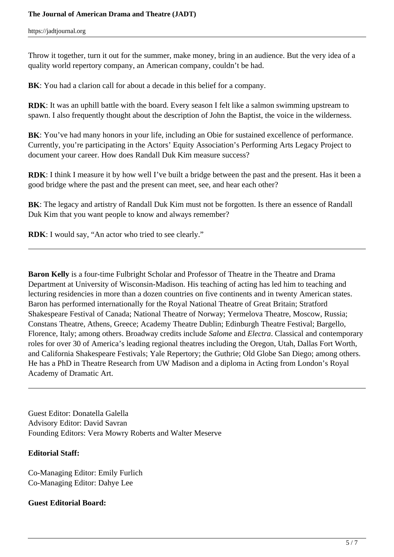Throw it together, turn it out for the summer, make money, bring in an audience. But the very idea of a quality world repertory company, an American company, couldn't be had.

**BK**: You had a clarion call for about a decade in this belief for a company.

**RDK**: It was an uphill battle with the board. Every season I felt like a salmon swimming upstream to spawn. I also frequently thought about the description of John the Baptist, the voice in the wilderness.

**BK**: You've had many honors in your life, including an Obie for sustained excellence of performance. Currently, you're participating in the Actors' Equity Association's Performing Arts Legacy Project to document your career. How does Randall Duk Kim measure success?

**RDK**: I think I measure it by how well I've built a bridge between the past and the present. Has it been a good bridge where the past and the present can meet, see, and hear each other?

**BK**: The legacy and artistry of Randall Duk Kim must not be forgotten. Is there an essence of Randall Duk Kim that you want people to know and always remember?

**RDK**: I would say, "An actor who tried to see clearly."

**Baron Kelly** is a four-time Fulbright Scholar and Professor of Theatre in the Theatre and Drama Department at University of Wisconsin-Madison. His teaching of acting has led him to teaching and lecturing residencies in more than a dozen countries on five continents and in twenty American states. Baron has performed internationally for the Royal National Theatre of Great Britain; Stratford Shakespeare Festival of Canada; National Theatre of Norway; Yermelova Theatre, Moscow, Russia; Constans Theatre, Athens, Greece; Academy Theatre Dublin; Edinburgh Theatre Festival; Bargello, Florence, Italy; among others. Broadway credits include *Salome* and *Electra*. Classical and contemporary roles for over 30 of America's leading regional theatres including the Oregon, Utah, Dallas Fort Worth, and California Shakespeare Festivals; Yale Repertory; the Guthrie; Old Globe San Diego; among others. He has a PhD in Theatre Research from UW Madison and a diploma in Acting from London's Royal Academy of Dramatic Art.

Guest Editor: Donatella Galella Advisory Editor: David Savran Founding Editors: Vera Mowry Roberts and Walter Meserve

## **Editorial Staff:**

Co-Managing Editor: Emily Furlich Co-Managing Editor: Dahye Lee

## **Guest Editorial Board:**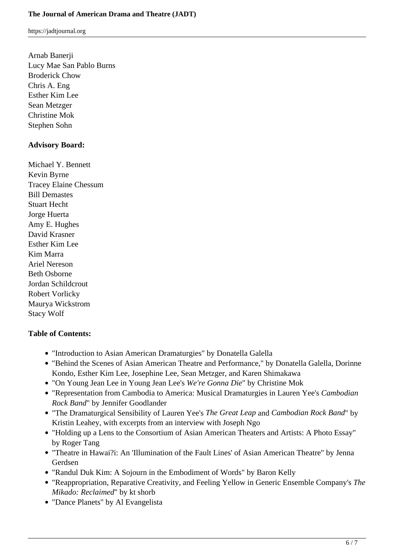Arnab Banerji Lucy Mae San Pablo Burns Broderick Chow Chris A. Eng Esther Kim Lee Sean Metzger Christine Mok Stephen Sohn

### **Advisory Board:**

Michael Y. Bennett Kevin Byrne Tracey Elaine Chessum Bill Demastes Stuart Hecht Jorge Huerta Amy E. Hughes David Krasner Esther Kim Lee Kim Marra Ariel Nereson Beth Osborne Jordan Schildcrout Robert Vorlicky Maurya Wickstrom Stacy Wolf

#### **Table of Contents:**

- "Introduction to Asian American Dramaturgies" by Donatella Galella
- "Behind the Scenes of Asian American Theatre and Performance," by Donatella Galella, Dorinne Kondo, Esther Kim Lee, Josephine Lee, Sean Metzger, and Karen Shimakawa
- "On Young Jean Lee in Young Jean Lee's *We're Gonna Die*" by Christine Mok
- "Representation from Cambodia to America: Musical Dramaturgies in Lauren Yee's *Cambodian Rock Band*" by Jennifer Goodlander
- "The Dramaturgical Sensibility of Lauren Yee's *The Great Leap* and *Cambodian Rock Band*" by Kristin Leahey, with excerpts from an interview with Joseph Ngo
- "Holding up a Lens to the Consortium of Asian American Theaters and Artists: A Photo Essay" by Roger Tang
- "Theatre in Hawai?i: An 'Illumination of the Fault Lines' of Asian American Theatre" by Jenna Gerdsen
- "Randul Duk Kim: A Sojourn in the Embodiment of Words" by Baron Kelly
- "Reappropriation, Reparative Creativity, and Feeling Yellow in Generic Ensemble Company's *The Mikado: Reclaimed*" by kt shorb
- "Dance Planets" by Al Evangelista